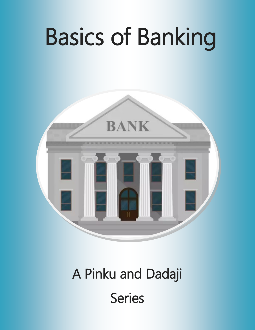



# A Pinku and Dadaji Series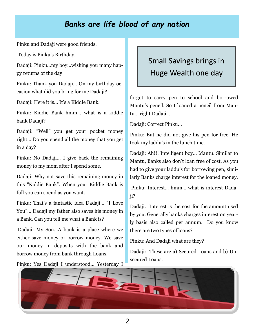### *Banks are life blood of any nation*

Pinku and Dadaji were good friends.

Today is Pinku's Birthday.

Dadaji: Pinku…my boy…wishing you many happy returns of the day

Pinku: Thank you Dadaji… On my birthday occasion what did you bring for me Dadaji?

Dadaji: Here it is… It's a Kiddie Bank.

Pinku: Kiddie Bank hmm… what is a kiddie bank Dadaji?

Dadaji: "Well" you get your pocket money right… Do you spend all the money that you get in a day?

Pinku: No Dadaji… I give back the remaining money to my mom after I spend some.

Dadaji: Why not save this remaining money in this "Kiddie Bank". When your Kiddie Bank is full you can spend as you want.

Pinku: That's a fantastic idea Dadaji… "I Love You"... Dadaji my father also saves his money in a Bank. Can you tell me what a Bank is?

Dadaji: My Son…A bank is a place where we either save money or borrow money. We save our money in deposits with the bank and borrow money from bank through Loans.

Pinku: Yes Dadaji I understood… Yesterday I

### Small Savings brings in Huge Wealth one day

forgot to carry pen to school and borrowed Mantu's pencil. So I loaned a pencil from Mantu… right Dadaji…

Dadaji: Correct Pinku…

Pinku: But he did not give his pen for free. He took my laddu's in the lunch time.

Dadaji: Ah!!! Intelligent boy… Mantu. Similar to Mantu, Banks also don't loan free of cost. As you had to give your laddu's for borrowing pen, similarly Banks charge interest for the loaned money.

Pinku: Interest… hmm… what is interest Dadaii?

Dadaji: Interest is the cost for the amount used by you. Generally banks charges interest on yearly basis also called per annum. Do you know there are two types of loans?

Pinku: And Dadaji what are they?

Dadaji: These are a) Secured Loans and b) Unsecured Loans.

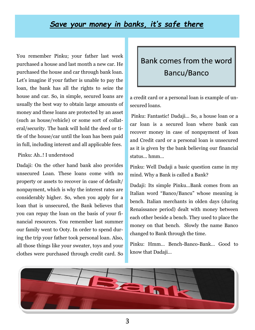#### *Save your money in banks, it's safe there*

You remember Pinku; your father last week purchased a house and last month a new car. He purchased the house and car through bank loan. Let's imagine if your father is unable to pay the loan, the bank has all the rights to seize the house and car. So, in simple, secured loans are usually the best way to obtain large amounts of money and these loans are protected by an asset (such as house/vehicle) or some sort of collateral/security. The bank will hold the deed or title of the house/car until the loan has been paid in full, including interest and all applicable fees.

#### Pinku: Ah..! I understood

Dadaji: On the other hand bank also provides unsecured Loan. These loans come with no property or assets to recover in case of default/ nonpayment, which is why the interest rates are considerably higher. So, when you apply for a loan that is unsecured, the Bank believes that you can repay the loan on the basis of your financial resources. You remember last summer our family went to Ooty. In order to spend during the trip your father took personal loan. Also, all those things like your sweater, toys and your clothes were purchased through credit card. So

### Bank comes from the word Bancu/Banco

a credit card or a personal loan is example of unsecured loans.

Pinku: Fantastic! Dadaji… So, a house loan or a car loan is a secured loan where bank can recover money in case of nonpayment of loan and Credit card or a personal loan is unsecured as it is given by the bank believing our financial status... hmm…

Pinku: Well Dadaji a basic question came in my mind. Why a Bank is called a Bank?

Dadaji: Its simple Pinku…Bank comes from an Italian word "Banco/Bancu" whose meaning is bench. Italian merchants in olden days (during Renaissance period) dealt with money between each other beside a bench. They used to place the money on that bench. Slowly the name Banco changed to Bank through the time.

Pinku: Hmm… Bench-Banco-Bank… Good to know that Dadaji…

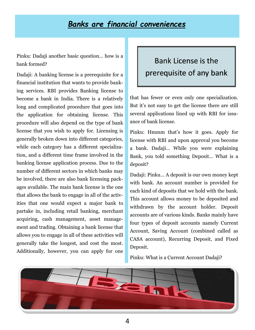#### *Banks are financial conveniences*

Pinku: Dadaji another basic question… how is a bank formed?

Dadaji: A banking license is a prerequisite for a financial institution that wants to provide banking services. RBI provides Banking license to become a bank in India. There is a relatively long and complicated procedure that goes into the application for obtaining license. This procedure will also depend on the type of bank license that you wish to apply for. Licensing is generally broken down into different categories, while each category has a different specialization, and a different time frame involved in the banking license application process. Due to the number of different sectors in which banks may be involved, there are also bank licensing packages available. The main bank license is the one that allows the bank to engage in all of the activities that one would expect a major bank to partake in, including retail banking, merchant acquiring, cash management, asset management and trading. Obtaining a bank license that allows you to engage in all of these activities will generally take the longest, and cost the most. Additionally, however, you can apply for one

### Bank License is the prerequisite of any bank

that has fewer or even only one specialization. But it's not easy to get the license there are still several applications lined up with RBI for issuance of bank license.

Pinku: Hmmm that's how it goes. Apply for license with RBI and upon approval you become a bank. Dadaji… While you were explaining Bank, you told something Deposit… What is a deposit?

Dadaji: Pinku… A deposit is our own money kept with bank. An account number is provided for each kind of deposits that we hold with the bank. This account allows money to be deposited and withdrawn by the account holder. Deposit accounts are of various kinds. Banks mainly have four types of deposit accounts namely Current Account, Saving Account (combined called as CASA account), Recurring Deposit, and Fixed Deposit.

#### Pinku: What is a Current Account Dadaji?

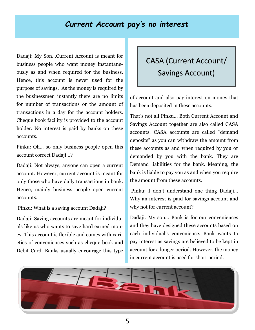#### *Current Account pay's no interest*

Dadaji: My Son…Current Account is meant for business people who want money instantaneously as and when required for the business. Hence, this account is never used for the purpose of savings. As the money is required by the businessmen instantly there are no limits for number of transactions or the amount of transactions in a day for the account holders. Cheque book facility is provided to the account holder. No interest is paid by banks on these accounts.

Pinku: Oh… so only business people open this account correct Dadaji…?

Dadaji: Not always, anyone can open a current account. However, current account is meant for only those who have daily transactions in bank. Hence, mainly business people open current accounts.

Pinku: What is a saving account Dadaji?

Dadaji: Saving accounts are meant for individuals like us who wants to save hard earned money. This account is flexible and comes with varieties of conveniences such as cheque book and Debit Card. Banks usually encourage this type

### CASA (Current Account/ Savings Account)

of account and also pay interest on money that has been deposited in these accounts.

That's not all Pinku… Both Current Account and Savings Account together are also called CASA accounts. CASA accounts are called "demand deposits" as you can withdraw the amount from these accounts as and when required by you or demanded by you with the bank. They are Demand liabilities for the bank. Meaning, the bank is liable to pay you as and when you require the amount from these accounts.

Pinku: I don't understand one thing Dadaji… Why an interest is paid for savings account and why not for current account?

Dadaji: My son… Bank is for our conveniences and they have designed these accounts based on each individual's convenience. Bank wants to pay interest as savings are believed to be kept in account for a longer period. However, the money in current account is used for short period.

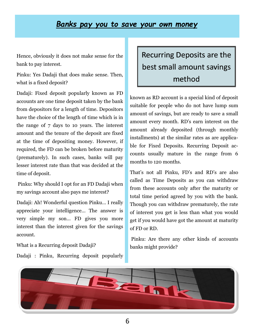#### *Banks pay you to save your own money*

Hence, obviously it does not make sense for the bank to pay interest.

Pinku: Yes Dadaji that does make sense. Then, what is a fixed deposit?

Dadaji: Fixed deposit popularly known as FD accounts are one time deposit taken by the bank from depositors for a length of time. Depositors have the choice of the length of time which is in the range of 7 days to 10 years. The interest amount and the tenure of the deposit are fixed at the time of depositing money. However, if required, the FD can be broken before maturity (prematurely). In such cases, banks will pay lesser interest rate than that was decided at the time of deposit.

Pinku: Why should I opt for an FD Dadaji when my savings account also pays me interest?

Dadaji: Ah! Wonderful question Pinku… I really appreciate your intelligence… The answer is very simple my son… FD gives you more interest than the interest given for the savings account.

What is a Recurring deposit Dadaji?

Dadaji : Pinku, Recurring deposit popularly

### Recurring Deposits are the best small amount savings method

known as RD account is a special kind of deposit suitable for people who do not have lump sum amount of savings, but are ready to save a small amount every month. RD's earn interest on the amount already deposited (through monthly installments) at the similar rates as are applicable for Fixed Deposits. Recurring Deposit accounts usually mature in the range from 6 months to 120 months.

That's not all Pinku, FD's and RD's are also called as Time Deposits as you can withdraw from these accounts only after the maturity or total time period agreed by you with the bank. Though you can withdraw prematurely, the rate of interest you get is less than what you would get if you would have got the amount at maturity of FD or RD.

Pinku: Are there any other kinds of accounts banks might provide?

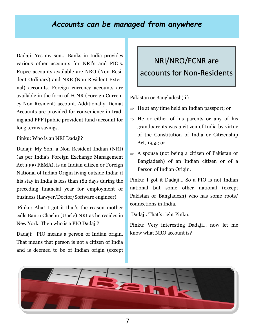#### *Accounts can be managed from anywhere*

Dadaji: Yes my son… Banks in India provides various other accounts for NRI's and PIO's. Rupee accounts available are NRO (Non Resident Ordinary) and NRE (Non Resident External) accounts. Foreign currency accounts are available in the form of FCNR (Foreign Currency Non Resident) account. Additionally, Demat Accounts are provided for convenience in trading and PPF (public provident fund) account for long terms savings.

Pinku: Who is an NRI Dadaji?

Dadaji: My Son, a Non Resident Indian (NRI) (as per India's Foreign Exchange Management Act 1999 FEMA), is an Indian citizen or Foreign National of Indian Origin living outside India; if his stay in India is less than 182 days during the preceding financial year for employment or business (Lawyer/Doctor/Software engineer).

Pinku: Aha! I got it that's the reason mother calls Bantu Chachu (Uncle) NRI as he resides in New York. Then who is a PIO Dadaji?

Dadaji: PIO means a person of Indian origin. That means that person is not a citizen of India and is deemed to be of Indian origin (except

### NRI/NRO/FCNR are accounts for Non-Residents

Pakistan or Bangladesh) if:

- $\Rightarrow$  He at any time held an Indian passport; or
- $\Rightarrow$  He or either of his parents or any of his grandparents was a citizen of India by virtue of the Constitution of India or Citizenship Act, 1955; or
- $\Rightarrow$  A spouse (not being a citizen of Pakistan or Bangladesh) of an Indian citizen or of a Person of Indian Origin.

Pinku: I got it Dadaji… So a PIO is not Indian national but some other national (except Pakistan or Bangladesh) who has some roots/ connections in India.

Dadaji: That's right Pinku.

Pinku: Very interesting Dadaji… now let me know what NRO account is?

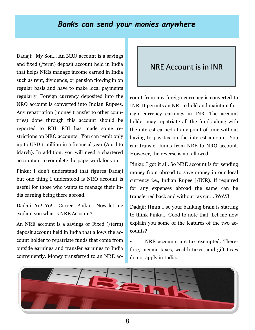#### *Banks can send your monies anywhere*

Dadaji: My Son… An NRO account is a savings and fixed (/term) deposit account held in India that helps NRIs manage income earned in India such as rent, dividends, or pension flowing in on regular basis and have to make local payments regularly. Foreign currency deposited into the NRO account is converted into Indian Rupees. Any repatriation (money transfer to other countries) done through this account should be reported to RBI. RBI has made some restrictions on NRO accounts. You can remit only up to USD 1 million in a financial year (April to March). In addition, you will need a chartered accountant to complete the paperwork for you.

Pinku: I don't understand that figures Dadaji but one thing I understood is NRO account is useful for those who wants to manage their India earning being there abroad.

Dadaji: Yo!..Yo!… Correct Pinku… Now let me explain you what is NRE Account?

An NRE account is a savings or Fixed (/term) deposit account held in India that allows the account holder to repatriate funds that come from outside earnings and transfer earnings to India conveniently. Money transferred to an NRE ac-

#### NRE Account is in INR

count from any foreign currency is converted to INR. It permits an NRI to hold and maintain foreign currency earnings in INR. The account holder may repatriate all the funds along with the interest earned at any point of time without having to pay tax on the interest amount. You can transfer funds from NRE to NRO account. However, the reverse is not allowed.

Pinku: I got it all. So NRE account is for sending money from abroad to save money in our local currency i.e., Indian Rupee (/INR). If required for any expenses abroad the same can be transferred back and without tax cut… WoW!

Dadaji: Hmm… so your banking brain is starting to think Pinku… Good to note that. Let me now explain you some of the features of the two accounts?

NRE accounts are tax exempted. Therefore, income taxes, wealth taxes, and gift taxes do not apply in India.

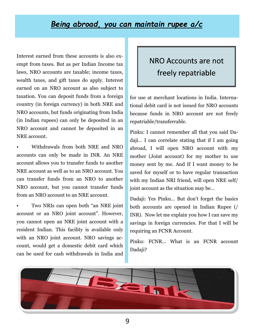#### *Being abroad, you can maintain rupee a/c*

Interest earned from these accounts is also exempt from taxes. But as per Indian Income tax laws, NRO accounts are taxable; income taxes, wealth taxes, and gift taxes do apply. Interest earned on an NRO account as also subject to taxation. You can deposit funds from a foreign country (in foreign currency) in both NRE and NRO accounts, but funds originating from India (in Indian rupees) can only be deposited in an NRO account and cannot be deposited in an NRE account.

• Withdrawals from both NRE and NRO accounts can only be made in INR. An NRE account allows you to transfer funds to another NRE account as well as to an NRO account. You can transfer funds from an NRO to another NRO account, but you cannot transfer funds from an NRO account to an NRE account.

• Two NRIs can open both "an NRE joint account or an NRO joint account". However, you cannot open an NRE joint account with a resident Indian. This facility is available only with an NRO joint account. NRO savings account, would get a domestic debit card which can be used for cash withdrawals in India and

### NRO Accounts are not freely repatriable

for use at merchant locations in India. International debit card is not issued for NRO accounts because funds in NRO account are not freely repatriable/transferrable.

Pinku: I cannot remember all that you said Dadaji… I can correlate stating that if I am going abroad, I will open NRO account with my mother (Joint account) for my mother to use money sent by me. And If I want money to be saved for myself or to have regular transaction with my Indian NRI friend, will open NRE self/ joint account as the situation may be…

Dadaji: Yes Pinku… But don't forget the basics both accounts are opened in Indian Rupee (/ INR). Now let me explain you how I can save my savings in foreign currencies. For that I will be requiring an FCNR Account.

Pinku: FCNR… What is an FCNR account Dadaji?

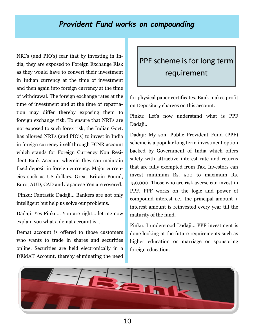#### *Provident Fund works on compounding*

NRI's (and PIO's) fear that by investing in India, they are exposed to Foreign Exchange Risk as they would have to convert their investment in Indian currency at the time of investment and then again into foreign currency at the time of withdrawal. The foreign exchange rates at the time of investment and at the time of repatriation may differ thereby exposing them to foreign exchange risk. To ensure that NRI's are not exposed to such forex risk, the Indian Govt. has allowed NRI's (and PIO's) to invest in India in foreign currency itself through FCNR account which stands for Foreign Currency Non Resident Bank Account wherein they can maintain fixed deposit in foreign currency. Major currencies such as US dollars, Great Britain Pound, Euro, AUD, CAD and Japanese Yen are covered.

Pinku: Fantastic Dadaji… Bankers are not only intelligent but help us solve our problems.

Dadaji: Yes Pinku… You are right… let me now explain you what a demat account is…

Demat account is offered to those customers who wants to trade in shares and securities online. Securities are held electronically in a DEMAT Account, thereby eliminating the need

### PPF scheme is for long term requirement

for physical paper certificates. Bank makes profit on Depositary charges on this account.

Pinku: Let's now understand what is PPF Dadaji..

Dadaji: My son, Public Provident Fund (PPF) scheme is a popular long term investment option backed by Government of India which offers safety with attractive interest rate and returns that are fully exempted from Tax. Investors can invest minimum Rs. 500 to maximum Rs. 150,000. Those who are risk averse can invest in PPF. PPF works on the logic and power of compound interest i.e., the principal amount + interest amount is reinvested every year till the maturity of the fund.

Pinku: I understood Dadaji… PPF investment is done looking at the future requirements such as higher education or marriage or sponsoring foreign education.

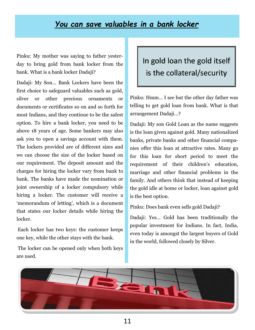#### *You can save valuables in a bank locker*

Pinku: My mother was saying to father yesterday to bring gold from bank locker from the bank. What is a bank locker Dadaji?

Dadaji: My Son… Bank Lockers have been the first choice to safeguard valuables such as gold, silver or other precious ornaments or documents or certificates so on and so forth for most Indians, and they continue to be the safest option. To hire a bank locker, you need to be above 18 years of age. Some bankers may also ask you to open a savings account with them. The lockers provided are of different sizes and we can choose the size of the locker based on our requirement. The deposit amount and the charges for hiring the locker vary from bank to bank. The banks have made the nomination or joint ownership of a locker compulsory while hiring a locker. The customer will receive a 'memorandum of letting', which is a document that states our locker details while hiring the locker.

Each locker has two keys: the customer keeps one key, while the other stays with the bank.

The locker can be opened only when both keys are used.

### In gold loan the gold itself is the collateral/security

Pinku: Hmm… I see but the other day father was telling to get gold loan from bank. What is that arrangement Dadaji…?

Dadaji: My son Gold Loan as the name suggests is the loan given against gold. Many nationalized banks, private banks and other financial companies offer this loan at attractive rates. Many go for this loan for short period to meet the requirement of their children's education, marriage and other financial problems in the family. And others think that instead of keeping the gold idle at home or locker, loan against gold is the best option.

Pinku: Does bank even sells gold Dadaji?

Dadaji: Yes… Gold has been traditionally the popular investment for Indians. In fact, India, even today is amongst the largest buyers of Gold in the world, followed closely by Silver.

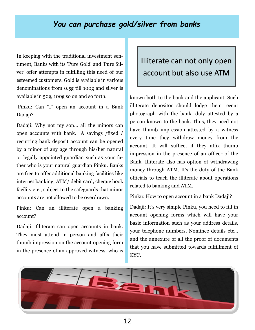#### *You can purchase gold/silver from banks*

In keeping with the traditional investment sentiment, Banks with its 'Pure Gold' and 'Pure Silver' offer attempts in fulfilling this need of our esteemed customers. Gold is available in various denominations from 0.5g till 100g and silver is available in 50g, 100g so on and so forth.

Pinku: Can "I" open an account in a Bank Dadaji?

Dadaji: Why not my son… all the minors can open accounts with bank. A savings /fixed / recurring bank deposit account can be opened by a minor of any age through his/her natural or legally appointed guardian such as your father who is your natural guardian Pinku. Banks are free to offer additional banking facilities like internet banking, ATM/ debit card, cheque book facility etc., subject to the safeguards that minor accounts are not allowed to be overdrawn.

Pinku: Can an illiterate open a banking account?

Dadaji: Illiterate can open accounts in bank. They must attend in person and affix their thumb impression on the account opening form in the presence of an approved witness, who is

### Illiterate can not only open account but also use ATM

known both to the bank and the applicant. Such illiterate depositor should lodge their recent photograph with the bank, duly attested by a person known to the bank. Thus, they need not have thumb impression attested by a witness every time they withdraw money from the account. It will suffice, if they affix thumb impression in the presence of an officer of the Bank. Illiterate also has option of withdrawing money through ATM. It's the duty of the Bank officials to teach the illiterate about operations related to banking and ATM.

Pinku: How to open account in a bank Dadaji?

Dadaji: It's very simple Pinku, you need to fill in account opening forms which will have your basic information such as your address details, your telephone numbers, Nominee details etc… and the annexure of all the proof of documents that you have submitted towards fulfillment of KYC.

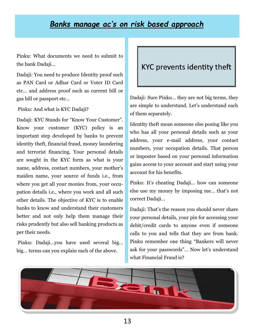#### *Banks manage ac's on risk based approach*

Pinku: What documents we need to submit to the bank Dadaji…

Dadaji: You need to produce Identity proof such as PAN Card or Adhar Card or Voter ID Card etc… and address proof such as current bill or gas bill or passport etc…

Pinku: And what is KYC Dadaji?

Dadaji: KYC Stands for "Know Your Customer". Know your customer (KYC) policy is an important step developed by banks to prevent identity theft, financial fraud, money laundering and terrorist financing. Your personal details are sought in the KYC form as what is your name, address, contact numbers, your mother's maiden name, your source of funds i.e., from where you get all your monies from, your occupation details i.e., where you work and all such other details. The objective of KYC is to enable banks to know and understand their customers better and not only help them manage their risks prudently but also sell banking products as per their needs.

Pinku: Dadaji…you have used several big… big… terms can you explain each of the above.

#### KYC prevents identity theft

Dadaji: Sure Pinku… they are not big terms, they are simple to understand. Let's understand each of them separately.

Identity theft mean someone else posing like you who has all your personal details such as your address, your e-mail address, your contact numbers, your occupation details. That person or imposter based on your personal information gains access to your account and start using your account for his benefits.

Pinku: It's cheating Dadaji… how can someone else use my money by imposing me… that's not correct Dadaji…

Dadaji: That's the reason you should never share your personal details, your pin for accessing your debit/credit cards to anyone even if someone calls to you and tells that they are from bank. Pinku remember one thing "Bankers will never ask for your passwords"… Now let's understand what Financial Fraud is?

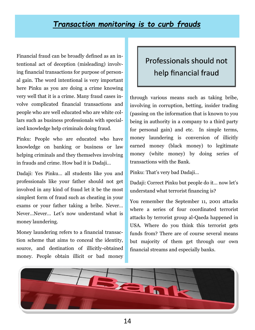#### *Transaction monitoring is to curb frauds*

Financial fraud can be broadly defined as an intentional act of deception (misleading) involving financial transactions for purpose of personal gain. The word intentional is very important here Pinku as you are doing a crime knowing very well that it is a crime. Many fraud cases involve complicated financial transactions and people who are well educated who are white collars such as business professionals with specialized knowledge help criminals doing fraud.

Pinku: People who are educated who have knowledge on banking or business or law helping criminals and they themselves involving in frauds and crime. How bad it is Dadaji…

Dadaji: Yes Pinku… all students like you and professionals like your father should not get involved in any kind of fraud let it be the most simplest form of fraud such as cheating in your exams or your father taking a bribe. Never… Never…Never… Let's now understand what is money laundering.

Money laundering refers to a financial transaction scheme that aims to conceal the identity, source, and destination of illicitly-obtained money. People obtain illicit or bad money

### Professionals should not help financial fraud

through various means such as taking bribe, involving in corruption, betting, insider trading (passing on the information that is known to you being in authority in a company to a third party for personal gain) and etc. In simple terms, money laundering is conversion of illicitly earned money (black money) to legitimate money (white money) by doing series of transactions with the Bank.

Pinku: That's very bad Dadaji…

Dadaji: Correct Pinku but people do it… now let's understand what terrorist financing is?

You remember the September 11, 2001 attacks where a series of four coordinated terrorist attacks by terrorist group al-Qaeda happened in USA. Where do you think this terrorist gets funds from? There are of course several means but majority of them get through our own financial streams and especially banks.

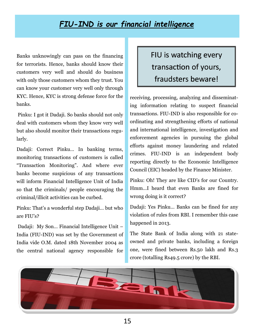### *FIU-IND is our financial intelligence*

Banks unknowingly can pass on the financing for terrorists. Hence, banks should know their customers very well and should do business with only those customers whom they trust. You can know your customer very well only through KYC. Hence, KYC is strong defense force for the banks.

Pinku: I got it Dadaji. So banks should not only deal with customers whom they know very well but also should monitor their transactions regularly.

Dadaji: Correct Pinku… In banking terms, monitoring transactions of customers is called "Transaction Monitoring". And where ever banks become suspicious of any transactions will inform Financial Intelligence Unit of India so that the criminals/ people encouraging the criminal/illicit activities can be curbed.

Pinku: That's a wonderful step Dadaji… but who are FIU's?

Dadaji: My Son… Financial Intelligence Unit – India (FIU-IND) was set by the Government of India vide O.M. dated 18th November 2004 as the central national agency responsible for

### FIU is watching every transaction of yours, fraudsters beware!

receiving, processing, analyzing and disseminating information relating to suspect financial transactions. FIU-IND is also responsible for coordinating and strengthening efforts of national and international intelligence, investigation and enforcement agencies in pursuing the global efforts against money laundering and related crimes. FIU-IND is an independent body reporting directly to the Economic Intelligence Council (EIC) headed by the Finance Minister.

Pinku: Oh! They are like CID's for our Country. Hmm…I heard that even Banks are fined for wrong doing is it correct?

Dadaji: Yes Pinku… Banks can be fined for any violation of rules from RBI. I remember this case happened in 2013.

The State Bank of India along with 21 stateowned and private banks, including a foreign one, were fined between Rs.50 lakh and Rs.3 crore (totalling Rs49.5 crore) by the RBI.

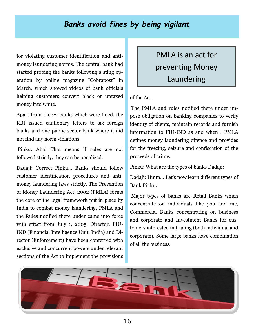#### *Banks avoid fines by being vigilant*

for violating customer identification and antimoney laundering norms. The central bank had started probing the banks following a sting operation by online magazine "Cobrapost" in March, which showed videos of bank officials helping customers convert black or untaxed money into white.

Apart from the 22 banks which were fined, the RBI issued cautionary letters to six foreign banks and one public-sector bank where it did not find any norm violations.

Pinku: Aha! That means if rules are not followed strictly, they can be penalized.

Dadaji: Correct Pinku… Banks should follow customer identification procedures and antimoney laundering laws strictly. The Prevention of Money Laundering Act, 2002 (PMLA) forms the core of the legal framework put in place by India to combat money laundering. PMLA and the Rules notified there under came into force with effect from July 1, 2005. Director, FIU-IND (Financial Intelligence Unit, India) and Director (Enforcement) have been conferred with exclusive and concurrent powers under relevant sections of the Act to implement the provisions

PMLA is an act for preventing Money Laundering

of the Act.

The PMLA and rules notified there under impose obligation on banking companies to verify identity of clients, maintain records and furnish information to FIU-IND as and when . PMLA defines money laundering offence and provides for the freezing, seizure and confiscation of the proceeds of crime.

Pinku: What are the types of banks Dadaji:

Dadaji: Hmm… Let's now learn different types of Bank Pinku:

Major types of banks are Retail Banks which concentrate on individuals like you and me, Commercial Banks concentrating on business and corporate and Investment Banks for customers interested in trading (both individual and corporate). Some large banks have combination of all the business.

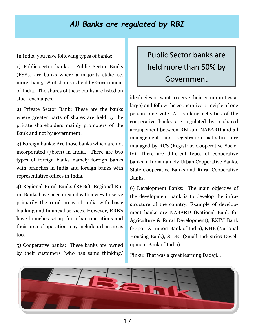### *All Banks are regulated by RBI*

In India, you have following types of banks:

1) Public-sector banks: Public Sector Banks (PSBs) are banks where a majority stake i.e. more than 50% of shares is held by Government of India. The shares of these banks are listed on stock exchanges.

2) Private Sector Bank: These are the banks where greater parts of shares are held by the private shareholders mainly promoters of the Bank and not by government.

3) Foreign banks: Are those banks which are not incorporated (/born) in India. There are two types of foreign banks namely foreign banks with branches in India and foreign banks with representative offices in India.

4) Regional Rural Banks (RRBs): Regional Rural Banks have been created with a view to serve primarily the rural areas of India with basic banking and financial services. However, RRB's have branches set up for urban operations and their area of operation may include urban areas too.

5) Cooperative banks: These banks are owned by their customers (who has same thinking/

### Public Sector banks are held more than 50% by Government

ideologies or want to serve their communities at large) and follow the cooperative principle of one person, one vote. All banking activities of the cooperative banks are regulated by a shared arrangement between RBI and NABARD and all management and registration activities are managed by RCS (Registrar, Cooperative Society). There are different types of cooperative banks in India namely Urban Cooperative Banks, State Cooperative Banks and Rural Cooperative Banks.

6) Development Banks: The main objective of the development bank is to develop the infrastructure of the country. Example of development banks are NABARD (National Bank for Agriculture & Rural Development), EXIM Bank (Export & Import Bank of India), NHB (National Housing Bank), SIDBI (Small Industries Development Bank of India)

Pinku: That was a great learning Dadaji…

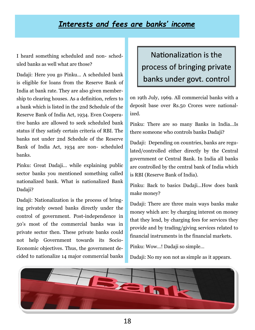### *Interests and fees are banks' income*

I heard something scheduled and non- scheduled banks as well what are those?

Dadaji: Here you go Pinku… A scheduled bank is eligible for loans from the Reserve Bank of India at bank rate. They are also given membership to clearing houses. As a definition, refers to a bank which is listed in the 2nd Schedule of the Reserve Bank of India Act, 1934. Even Cooperative banks are allowed to seek scheduled bank status if they satisfy certain criteria of RBI. The banks not under 2nd Schedule of the Reserve Bank of India Act, 1934 are non- scheduled banks.

Pinku: Great Dadaji… while explaining public sector banks you mentioned something called nationalized bank. What is nationalized Bank Dadaji?

Dadaji: Nationalization is the process of bringing privately owned banks directly under the control of government. Post-independence in 50's most of the commercial banks was in private sector then. These private banks could not help Government towards its Socio-Economic objectives. Thus, the government decided to nationalize 14 major commercial banks

Nationalization is the process of bringing private banks under govt. control

on 19th July, 1969. All commercial banks with a deposit base over Rs.50 Crores were nationalized.

Pinku: There are so many Banks in India…Is there someone who controls banks Dadaji?

Dadaji: Depending on countries, banks are regulated/controlled either directly by the Central government or Central Bank. In India all banks are controlled by the central bank of India which is RBI (Reserve Bank of India).

Pinku: Back to basics Dadaji…How does bank make money?

Dadaji: There are three main ways banks make money which are: by charging interest on money that they lend, by charging fees for services they provide and by trading/giving services related to financial instruments in the financial markets.

Pinku: Wow…! Dadaji so simple…

Dadaji: No my son not as simple as it appears.

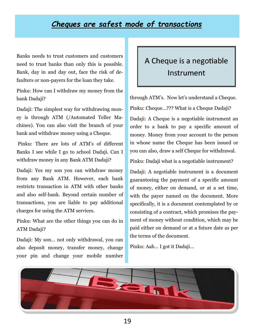#### *Cheques are safest mode of transactions*

Banks needs to trust customers and customers need to trust banks than only this is possible. Bank, day in and day out, face the risk of defaulters or non-payers for the loan they take.

Pinku: How can I withdraw my money from the bank Dadaji?

Dadaji: The simplest way for withdrawing money is through ATM (/Automated Teller Machines). You can also visit the branch of your bank and withdraw money using a Cheque.

Pinku: There are lots of ATM's of different Banks I see while I go to school Dadaji. Can I withdraw money in any Bank ATM Dadaji?

Dadaji: Yes my son you can withdraw money from any Bank ATM. However, each bank restricts transaction in ATM with other banks and also self-bank. Beyond certain number of transactions, you are liable to pay additional charges for using the ATM services.

Pinku: What are the other things you can do in ATM Dadaji?

Dadaji: My son… not only withdrawal, you can also deposit money, transfer money, change your pin and change your mobile number

### A Cheque is a negotiable Instrument

through ATM's. Now let's understand a Cheque. Pinku: Cheque…??? What is a Cheque Dadaji?

Dadaji: A Cheque is a negotiable instrument an order to a bank to pay a specific amount of money. Money from your account to the person in whose name the Cheque has been issued or you can also, draw a self Cheque for withdrawal.

Pinku: Dadaji what is a negotiable instrument?

Dadaji: A negotiable instrument is a document guaranteeing the payment of a specific amount of money, either on demand, or at a set time, with the payer named on the document. More specifically, it is a document contemplated by or consisting of a contract, which promises the payment of money without condition, which may be paid either on demand or at a future date as per the terms of the document.

Pinku: Aah… I got it Dadaji…

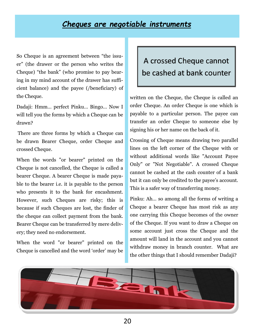#### *Cheques are negotiable instruments*

So Cheque is an agreement between "the issuer" (the drawer or the person who writes the Cheque) "the bank" (who promise to pay bearing in my mind account of the drawer has sufficient balance) and the payee (/beneficiary) of the Cheque.

Dadaji: Hmm… perfect Pinku… Bingo… Now I will tell you the forms by which a Cheque can be drawn?

There are three forms by which a Cheque can be drawn Bearer Cheque, order Cheque and crossed Cheque.

When the words "or bearer" printed on the Cheque is not cancelled, the Cheque is called a bearer Cheque. A bearer Cheque is made payable to the bearer i.e. it is payable to the person who presents it to the bank for encashment. However, such Cheques are risky; this is because if such Cheques are lost, the finder of the cheque can collect payment from the bank. Bearer Cheque can be transferred by mere delivery; they need no endorsement.

When the word "or bearer" printed on the Cheque is cancelled and the word 'order' may be

### A crossed Cheque cannot be cashed at bank counter

written on the Cheque, the Cheque is called an order Cheque. An order Cheque is one which is payable to a particular person. The payee can transfer an order Cheque to someone else by signing his or her name on the back of it.

Crossing of Cheque means drawing two parallel lines on the left corner of the Cheque with or without additional words like "Account Payee Only" or "Not Negotiable". A crossed Cheque cannot be cashed at the cash counter of a bank but it can only be credited to the payee's account. This is a safer way of transferring money.

Pinku: Ah… so among all the forms of writing a Cheque a bearer Cheque has most risk as any one carrying this Cheque becomes of the owner of the Cheque. If you want to draw a Cheque on some account just cross the Cheque and the amount will land in the account and you cannot withdraw money in branch counter. What are the other things that I should remember Dadaji?

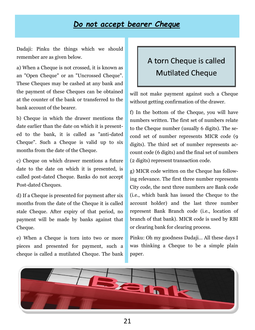#### *Do not accept bearer Cheque*

Dadaji: Pinku the things which we should remember are as given below.

a) When a Cheque is not crossed, it is known as an "Open Cheque" or an "Uncrossed Cheque". These Cheques may be cashed at any bank and the payment of these Cheques can be obtained at the counter of the bank or transferred to the bank account of the bearer.

b) Cheque in which the drawer mentions the date earlier than the date on which it is presented to the bank, it is called as "anti-dated Cheque". Such a Cheque is valid up to six months from the date of the Cheque.

c) Cheque on which drawer mentions a future date to the date on which it is presented, is called post-dated Cheque. Banks do not accept Post-dated Cheques.

d) If a Cheque is presented for payment after six months from the date of the Cheque it is called stale Cheque. After expiry of that period, no payment will be made by banks against that Cheque.

e) When a Cheque is torn into two or more pieces and presented for payment, such a cheque is called a mutilated Cheque. The bank

### A torn Cheque is called Mutilated Cheque

will not make payment against such a Cheque without getting confirmation of the drawer.

f) In the bottom of the Cheque, you will have numbers written. The first set of numbers relate to the Cheque number (usually 6 digits). The second set of number represents MICR code (9 digits). The third set of number represents account code (6 digits) and the final set of numbers (2 digits) represent transaction code.

g) MICR code written on the Cheque has following relevance. The first three number represents City code, the next three numbers are Bank code (i.e., which bank has issued the Cheque to the account holder) and the last three number represent Bank Branch code (i.e., location of branch of that bank). MICR code is used by RBI or clearing bank for clearing process.

Pinku: Oh my goodness Dadaji… All these days I was thinking a Cheque to be a simple plain paper.

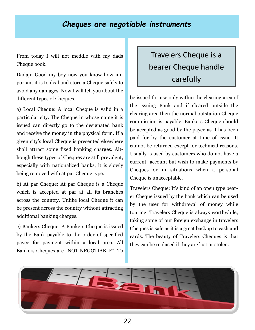#### *Cheques are negotiable instruments*

From today I will not meddle with my dads Cheque book.

Dadaji: Good my boy now you know how important it is to deal and store a Cheque safely to avoid any damages. Now I will tell you about the different types of Cheques.

a) Local Cheque: A local Cheque is valid in a particular city. The Cheque in whose name it is issued can directly go to the designated bank and receive the money in the physical form. If a given city's local Cheque is presented elsewhere shall attract some fixed banking charges. Although these types of Cheques are still prevalent, especially with nationalized banks, it is slowly being removed with at par Cheque type.

b) At par Cheque: At par Cheque is a Cheque which is accepted at par at all its branches across the country. Unlike local Cheque it can be present across the country without attracting additional banking charges.

c) Bankers Cheque: A Bankers Cheque is issued by the Bank payable to the order of specified payee for payment within a local area. All Bankers Cheques are "NOT NEGOTIABLE". To

# Travelers Cheque is a bearer Cheque handle carefully

be issued for use only within the clearing area of the issuing Bank and if cleared outside the clearing area then the normal outstation Cheque commission is payable. Bankers Cheque should be accepted as good by the payee as it has been paid for by the customer at time of issue. It cannot be returned except for technical reasons. Usually is used by customers who do not have a current account but wish to make payments by Cheques or in situations when a personal Cheque is unacceptable.

Travelers Cheque: It's kind of an open type bearer Cheque issued by the bank which can be used by the user for withdrawal of money while touring. Travelers Cheque is always worthwhile; taking some of our foreign exchange in travelers Cheques is safe as it is a great backup to cash and cards. The beauty of Travelers Cheques is that they can be replaced if they are lost or stolen.

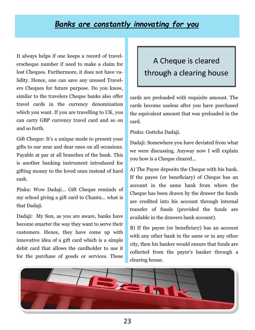#### *Banks are constantly innovating for you*

It always helps if one keeps a record of travelerscheque number if need to make a claim for lost Cheques. Furthermore, it does not have validity. Hence, one can save any unused Travelers Cheques for future purpose. Do you know, similar to the travelers Cheque banks also offer travel cards in the currency denomination which you want. If you are travelling to UK, you can carry GBP currency travel card and so on and so forth.

Gift Cheque: It's a unique mode to present your gifts to our near and dear ones on all occasions. Payable at par at all branches of the bank. This is another banking instrument introduced for gifting money to the loved ones instead of hard cash.

Pinku: Wow Dadaji… Gift Cheque reminds of my school giving a gift card to Chantu… what is that Dadaji.

Dadaji: My Son, as you are aware, banks have become smarter the way they want to serve their customers. Hence, they have come up with innovative idea of a gift card which is a simple debit card that allows the cardholder to use it for the purchase of goods or services. These

### A Cheque is cleared through a clearing house

cards are preloaded with requisite amount. The cards become useless after you have purchased the equivalent amount that was preloaded in the card.

Pinku: Gottcha Dadaji.

Dadaji: Somewhere you have deviated from what we were discussing. Anyway now I will explain you how is a Cheque cleared…

A) The Payee deposits the Cheque with his bank. If the payee (or beneficiary) of Cheque has an account in the same bank from where the Cheque has been drawn by the drawer the funds are credited into his account through internal transfer of funds (provided the funds are available in the drawers bank account).

B) If the payee (or beneficiary) has an account with any other bank in the same or in any other city, then his banker would ensure that funds are collected from the payer's banker through a clearing house.

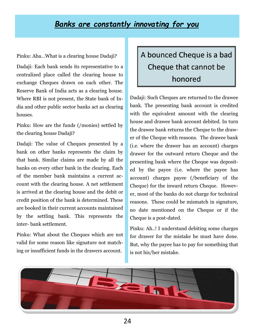#### *Banks are constantly innovating for you*

Pinku: Aha…What is a clearing house Dadaji?

Dadaji: Each bank sends its representative to a centralized place called the clearing house to exchange Cheques drawn on each other. The Reserve Bank of India acts as a clearing house. Where RBI is not present, the State bank of India and other public sector banks act as clearing houses.

Pinku: How are the funds (/monies) settled by the clearing house Dadaji?

Dadaji: The value of Cheques presented by a bank on other banks represents the claim by that bank. Similar claims are made by all the banks on every other bank in the clearing. Each of the member bank maintains a current account with the clearing house. A net settlement is arrived at the clearing house and the debit or credit position of the bank is determined. These are booked in their current accounts maintained by the settling bank. This represents the inter- bank settlement.

Pinku: What about the Cheques which are not valid for some reason like signature not matching or insufficient funds in the drawers account.

# A bounced Cheque is a bad Cheque that cannot be honored

Dadaji: Such Cheques are returned to the drawee bank. The presenting bank account is credited with the equivalent amount with the clearing house and drawee bank account debited. In turn the drawee bank returns the Cheque to the drawer of the Cheque with reasons. The drawee bank (i.e. where the drawer has an account) charges drawer for the outward return Cheque and the presenting bank where the Cheque was deposited by the payee (i.e. where the payee has account) charges payee (/beneficiary of the Cheque) for the inward return Cheque. However, most of the banks do not charge for technical reasons. These could be mismatch in signature, no date mentioned on the Cheque or if the Cheque is a post-dated.

Pinku: Ah..! I understand debiting some charges for drawer for the mistake he must have done. But, why the payee has to pay for something that is not his/her mistake.

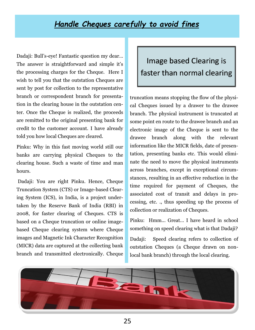### *Handle Cheques carefully to avoid fines*

Dadaji: Bull's-eye! Fantastic question my dear… The answer is straightforward and simple it's the processing charges for the Cheque. Here I wish to tell you that the outstation Cheques are sent by post for collection to the representative branch or correspondent branch for presentation in the clearing house in the outstation center. Once the Cheque is realized, the proceeds are remitted to the original presenting bank for credit to the customer account. I have already told you how local Cheques are cleared.

Pinku: Why in this fast moving world still our banks are carrying physical Cheques to the clearing house. Such a waste of time and man hours.

Dadaji: You are right Pinku. Hence, Cheque Truncation System (CTS) or Image-based Clearing System (ICS), in India, is a project undertaken by the Reserve Bank of India (RBI) in 2008, for faster clearing of Cheques. CTS is based on a Cheque truncation or online imagebased Cheque clearing system where Cheque images and Magnetic Ink Character Recognition (MICR) data are captured at the collecting bank branch and transmitted electronically. Cheque

### Image based Clearing is faster than normal clearing

truncation means stopping the flow of the physical Cheques issued by a drawer to the drawee branch. The physical instrument is truncated at some point en route to the drawee branch and an electronic image of the Cheque is sent to the drawee branch along with the relevant information like the MICR fields, date of presentation, presenting banks etc. This would eliminate the need to move the physical instruments across branches, except in exceptional circumstances, resulting in an effective reduction in the time required for payment of Cheques, the associated cost of transit and delays in processing, etc. ., thus speeding up the process of collection or realization of Cheques.

Pinku: Hmm... Great… I have heard in school something on speed clearing what is that Dadaji?

Dadaji: Speed clearing refers to collection of outstation Cheques (a Cheque drawn on nonlocal bank branch) through the local clearing.

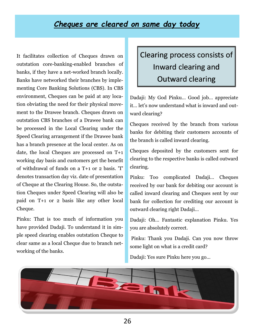#### *Cheques are cleared on same day today*

It facilitates collection of Cheques drawn on outstation core-banking-enabled branches of banks, if they have a net-worked branch locally. Banks have networked their branches by implementing Core Banking Solutions (CBS). In CBS environment, Cheques can be paid at any location obviating the need for their physical movement to the Drawee branch. Cheques drawn on outstation CBS branches of a Drawee bank can be processed in the Local Clearing under the Speed Clearing arrangement if the Drawee bank has a branch presence at the local center. As on date, the local Cheques are processed on T+1 working day basis and customers get the benefit of withdrawal of funds on a T+1 or 2 basis. 'T' denotes transaction day viz. date of presentation of Cheque at the Clearing House. So, the outstation Cheques under Speed Clearing will also be paid on T+1 or 2 basis like any other local Cheque.

Pinku: That is too much of information you have provided Dadaji. To understand it in simple speed clearing enables outstation Cheque to clear same as a local Cheque due to branch networking of the banks.

# Clearing process consists of Inward clearing and Outward clearing

Dadaji: My God Pinku… Good job… appreciate it… let's now understand what is inward and outward clearing?

Cheques received by the branch from various banks for debiting their customers accounts of the branch is called inward clearing.

Cheques deposited by the customers sent for clearing to the respective banks is called outward clearing.

Pinku: Too complicated Dadaji… Cheques received by our bank for debiting our account is called inward clearing and Cheques sent by our bank for collection for crediting our account is outward clearing right Dadaji…

Dadaji: Oh… Fantastic explanation Pinku. Yes you are absolutely correct.

Pinku: Thank you Dadaji. Can you now throw some light on what is a credit card?

Dadaji: Yes sure Pinku here you go…

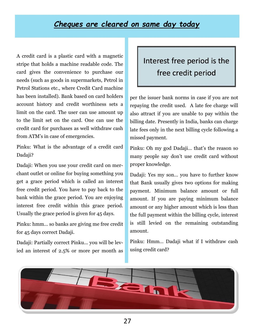#### *Cheques are cleared on same day today*

A credit card is a plastic card with a magnetic stripe that holds a machine readable code. The card gives the convenience to purchase our needs (such as goods in supermarkets, Petrol in Petrol Stations etc., where Credit Card machine has been installed). Bank based on card holders account history and credit worthiness sets a limit on the card. The user can use amount up to the limit set on the card. One can use the credit card for purchases as well withdraw cash from ATM's in case of emergencies.

Pinku: What is the advantage of a credit card Dadaji?

Dadaji: When you use your credit card on merchant outlet or online for buying something you get a grace period which is called an interest free credit period. You have to pay back to the bank within the grace period. You are enjoying interest free credit within this grace period. Usually the grace period is given for 45 days.

Pinku: hmm… so banks are giving me free credit for 45 days correct Dadaji.

Dadaji: Partially correct Pinku... you will be levied an interest of 2.5% or more per month as

### Interest free period is the free credit period

per the issuer bank norms in case if you are not repaying the credit used. A late fee charge will also attract if you are unable to pay within the billing date. Presently in India, banks can charge late fees only in the next billing cycle following a missed payment.

Pinku: Oh my god Dadaji… that's the reason so many people say don't use credit card without proper knowledge.

Dadaji: Yes my son… you have to further know that Bank usually gives two options for making payment. Minimum balance amount or full amount. If you are paying minimum balance amount or any higher amount which is less than the full payment within the billing cycle, interest is still levied on the remaining outstanding amount.

Pinku: Hmm… Dadaji what if I withdraw cash using credit card?

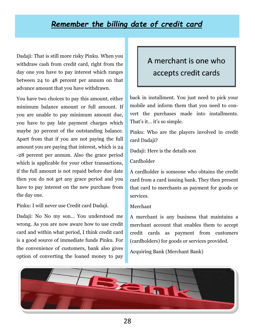#### *Remember the billing date of credit card*

Dadaji: That is still more risky Pinku. When you withdraw cash from credit card, right from the day one you have to pay interest which ranges between 24 to 48 percent per annum on that advance amount that you have withdrawn.

You have two choices to pay this amount, either minimum balance amount or full amount. If you are unable to pay minimum amount due, you have to pay late payment charges which maybe 30 percent of the outstanding balance. Apart from that if you are not paying the full amount you are paying that interest, which is 24 -28 percent per annum. Also the grace period which is applicable for your other transactions, if the full amount is not repaid before due date then you do not get any grace period and you have to pay interest on the new purchase from the day one.

Pinku: I will never use Credit card Dadaji.

Dadaji: No No my son… You understood me wrong. As you are now aware how to use credit card and within what period, I think credit card is a good source of immediate funds Pinku. For the convenience of customers, bank also gives option of converting the loaned money to pay

### A merchant is one who accepts credit cards

back in installment. You just need to pick your mobile and inform them that you need to convert the purchases made into installments. That's it… it's so simple.

Pinku: Who are the players involved in credit card Dadaji?

Dadaji: Here is the details son

Cardholder

A cardholder is someone who obtains the credit card from a card issuing bank. They then present that card to merchants as payment for goods or services.

#### Merchant

A merchant is any business that maintains a merchant account that enables them to accept credit cards as payment from customers (cardholders) for goods or services provided.

Acquiring Bank (Merchant Bank)

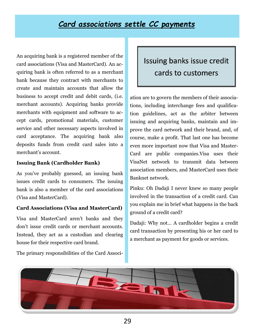#### *Card associations settle CC payments*

An acquiring bank is a registered member of the card associations (Visa and MasterCard). An acquiring bank is often referred to as a merchant bank because they contract with merchants to create and maintain accounts that allow the business to accept credit and debit cards, (i.e. merchant accounts). Acquiring banks provide merchants with equipment and software to accept cards, promotional materials, customer service and other necessary aspects involved in card acceptance. The acquiring bank also deposits funds from credit card sales into a merchant's account.

#### **Issuing Bank (Cardholder Bank)**

As you've probably guessed, an issuing bank issues credit cards to consumers. The issuing bank is also a member of the card associations (Visa and MasterCard).

#### **Card Associations (Visa and MasterCard)**

Visa and MasterCard aren't banks and they don't issue credit cards or merchant accounts. Instead, they act as a custodian and clearing house for their respective card brand.

### Issuing banks issue credit cards to customers

ation are to govern the members of their associations, including interchange fees and qualification guidelines, act as the arbiter between issuing and acquiring banks, maintain and improve the card network and their brand, and, of course, make a profit. That last one has become even more important now that Visa and Master-Card are public companies.Visa uses their VisaNet network to transmit data between association members, and MasterCard uses their Banknet network.

Pinku: Oh Dadaji I never knew so many people involved in the transaction of a credit card. Can you explain me in brief what happens in the back ground of a credit card?

Dadaji: Why not… A cardholder begins a credit card transaction by presenting his or her card to a merchant as payment for goods or services.



The primary responsibilities of the Card Associ-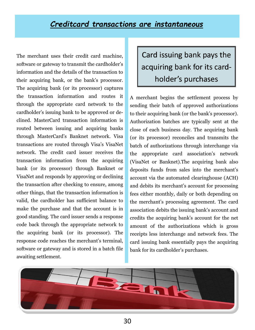#### *Creditcard transactions are instantaneous*

The merchant uses their credit card machine, software or gateway to transmit the cardholder's information and the details of the transaction to their acquiring bank, or the bank's processor. The acquiring bank (or its processor) captures the transaction information and routes it through the appropriate card network to the cardholder's issuing bank to be approved or declined. MasterCard transaction information is routed between issuing and acquiring banks through MasterCard's Banknet network. Visa transactions are routed through Visa's VisaNet network. The credit card issuer receives the transaction information from the acquiring bank (or its processor) through Banknet or VisaNet and responds by approving or declining the transaction after checking to ensure, among other things, that the transaction information is valid, the cardholder has sufficient balance to make the purchase and that the account is in good standing. The card issuer sends a response code back through the appropriate network to the acquiring bank (or its processor). The response code reaches the merchant's terminal, software or gateway and is stored in a batch file awaiting settlement.

Card issuing bank pays the acquiring bank for its cardholder's purchases

A merchant begins the settlement process by sending their batch of approved authorizations to their acquiring bank (or the bank's processor). Authorization batches are typically sent at the close of each business day. The acquiring bank (or its processor) reconciles and transmits the batch of authorizations through interchange via the appropriate card association's network (VisaNet or Banknet).The acquiring bank also deposits funds from sales into the merchant's account via the automated clearinghouse (ACH) and debits its merchant's account for processing fees either monthly, daily or both depending on the merchant's processing agreement. The card association debits the issuing bank's account and credits the acquiring bank's account for the net amount of the authorizations which is gross receipts less interchange and network fees. The card issuing bank essentially pays the acquiring bank for its cardholder's purchases.

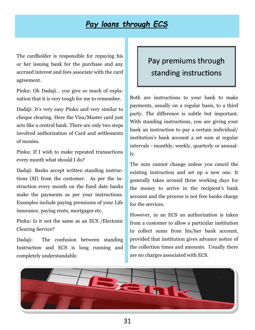### *Pay loans through ECS*

The cardholder is responsible for repaying his or her issuing bank for the purchase and any accrued interest and fees associate with the card agreement.

Pinku: Oh Dadaji… you give so much of explanation that it is very tough for me to remember.

Dadaji: It's very easy Pinku and very similar to cheque clearing. Here the Visa/Master card just acts like a central bank. There are only two steps involved authorization of Card and settlements of monies.

Pinku: If I wish to make repeated transactions every month what should I do?

Dadaji: Banks accept written standing instructions (SI) from the customer. As per the instruction every month on the fixed date banks make the payments as per your instructions. Examples include paying premiums of your Life insurance, paying rents, mortgages etc.

Pinku: Is it not the same as an ECS /Electonic Clearing Service?

Dadaji: The confusion between standing Instruction and ECS is long running and completely understandable.

### Pay premiums through standing instructions

Both are instructions to your bank to make payments, usually on a regular basis, to a third party. The difference is subtle but important. With standing instructions, you are giving your bank an instruction to pay a certain individual/ institution's bank account a set sum at regular intervals - monthly, weekly, quarterly or annually.

The sum cannot change unless you cancel the existing instruction and set up a new one. It generally takes around three working days for the money to arrive in the recipient's bank account and the process is not free banks charge for the services.

However, in an ECS an authorization is taken from a customer to allow a particular institution to collect sums from his/her bank account, provided that institution gives advance notice of the collection times and amounts. Usually there are no charges associated with ECS.

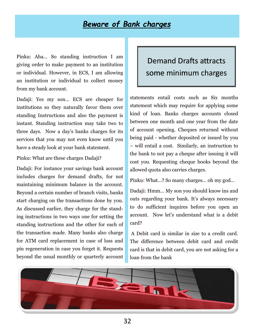#### *Beware of Bank charges*

Pinku: Aha… So standing instruction I am giving order to make payment to an institution or individual. However, in ECS, I am allowing an institution or individual to collect money from my bank account.

Dadaji: Yes my son… ECS are cheaper for institutions so they naturally favor them over standing Instructions and also the payment is instant. Standing instruction may take two to three days. Now a day's banks charges for its services that you may not even know until you have a steady look at your bank statement.

Pinku: What are these charges Dadaji?

Dadaji: For instance your savings bank account includes charges for demand drafts, for not maintaining minimum balance in the account. Beyond a certain number of branch visits, banks start charging on the transactions done by you. As discussed earlier, they charge for the standing instructions in two ways one for setting the standing instructions and the other for each of the transaction made. Many banks also charge for ATM card replacement in case of loss and pin regeneration in case you forget it. Requests beyond the usual monthly or quarterly account

### Demand Drafts attracts some minimum charges

statements entail costs such as Six months statement which may require for applying some kind of loan. Banks charges accounts closed between one month and one year from the date of account opening. Cheques returned without being paid - whether deposited or issued by you – will entail a cost. Similarly, an instruction to the bank to not pay a cheque after issuing it will cost you. Requesting cheque books beyond the allowed quota also carries charges.

Pinku: What…? So many charges… oh my god…

Dadaji: Hmm… My son you should know ins and outs regarding your bank. It's always necessary to do sufficient inquires before you open an account. Now let's understand what is a debit card?

A Debit card is similar in size to a credit card. The difference between debit card and credit card is that in debit card, you are not asking for a loan from the bank

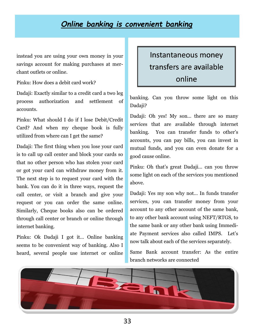#### *Online banking is convenient banking*

instead you are using your own money in your savings account for making purchases at merchant outlets or online.

Pinku: How does a debit card work?

Dadaji: Exactly similar to a credit card a two leg process authorization and settlement of accounts.

Pinku: What should I do if I lose Debit/Credit Card? And when my cheque book is fully utilized from where can I get the same?

Dadaji: The first thing when you lose your card is to call up call center and block your cards so that no other person who has stolen your card or got your card can withdraw money from it. The next step is to request your card with the bank. You can do it in three ways, request the call center, or visit a branch and give your request or you can order the same online. Similarly, Cheque books also can be ordered through call center or branch or online through internet banking.

Pinku: Ok Dadaji I got it… Online banking seems to be convenient way of banking. Also I heard, several people use internet or online

### Instantaneous money transfers are available online

banking. Can you throw some light on this Dadaji?

Dadaji: Oh yes! My son… there are so many services that are available through internet banking. You can transfer funds to other's accounts, you can pay bills, you can invest in mutual funds, and you can even donate for a good cause online.

Pinku: Oh that's great Dadaji… can you throw some light on each of the services you mentioned above.

Dadaji: Yes my son why not… In funds transfer services, you can transfer money from your account to any other account of the same bank, to any other bank account using NEFT/RTGS, to the same bank or any other bank using Immediate Payment services also called IMPS. Let's now talk about each of the services separately.

Same Bank account transfer: As the entire branch networks are connected

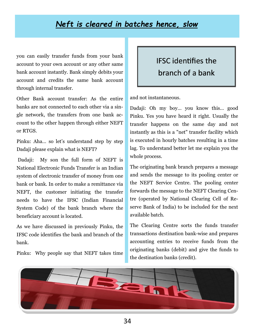### *Neft is cleared in batches hence, slow*

you can easily transfer funds from your bank account to your own account or any other same bank account instantly. Bank simply debits your account and credits the same bank account through internal transfer.

Other Bank account transfer: As the entire banks are not connected to each other via a single network, the transfers from one bank account to the other happen through either NEFT or RTGS.

Pinku: Aha… so let's understand step by step Dadaji please explain what is NEFT?

Dadaji: My son the full form of NEFT is National Electronic Funds Transfer is an Indian system of electronic transfer of money from one bank or bank. In order to make a remittance via NEFT, the customer initiating the transfer needs to have the IFSC (Indian Financial System Code) of the bank branch where the beneficiary account is located.

As we have discussed in previously Pinku, the IFSC code identifies the bank and branch of the bank.

Pinku: Why people say that NEFT takes time

### IFSC identifies the branch of a bank

and not instantaneous.

Dadaji: Oh my boy… you know this… good Pinku. Yes you have heard it right. Usually the transfer happens on the same day and not instantly as this is a "net" transfer facility which is executed in hourly batches resulting in a time lag. To understand better let me explain you the whole process.

The originating bank branch prepares a message and sends the message to its pooling center or the NEFT Service Centre. The pooling center forwards the message to the NEFT Clearing Centre (operated by National Clearing Cell of Reserve Bank of India) to be included for the next available batch.

The Clearing Centre sorts the funds transfer transactions destination bank-wise and prepares accounting entries to receive funds from the originating banks (debit) and give the funds to the destination banks (credit).

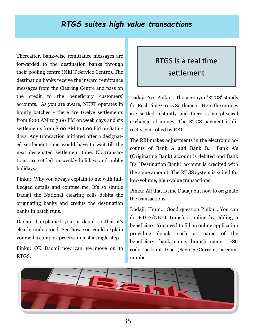#### *RTGS suites high value transactions*

Thereafter, bank-wise remittance messages are forwarded to the destination banks through their pooling centre (NEFT Service Centre). The destination banks receive the inward remittance messages from the Clearing Centre and pass on the credit to the beneficiary customers' accounts. As you are aware, NEFT operates in hourly batches - there are twelve settlements from 8:00 AM to 7:00 PM on week days and six settlements from 8:00 AM to 1:00 PM on Saturdays. Any transaction initiated after a designated settlement time would have to wait till the next designated settlement time. No transactions are settled on weekly holidays and public holidays.

Pinku: Why you always explain to me with fullfledged details and confuse me. It's so simple Dadaji the National clearing cells debits the originating banks and credits the destination banks in batch runs.

Dadaji: I explained you in detail so that it's clearly understood. See how you could explain yourself a complex process in just a single step.

Pinku: OK Dadaji now can we move on to RTGS.

### RTGS is a real time settlement

Dadaji: Yes Pinku… The acronym 'RTGS' stands for Real Time Gross Settlement. Here the monies are settled instantly and there is no physical exchange of money. The RTGS payment is directly controlled by RBI.

The RBI makes adjustments in the electronic accounts of Bank A and Bank B. Bank A's (Originating Bank) account is debited and Bank B's (Destination Bank) account is credited with the same amount. The RTGS system is suited for low-volume, high-value transactions.

Pinku: All that is fine Dadaji but how to originate the transactions.

Dadaji: Hmm… Good question Pinku… You can do RTGS/NEFT transfers online by adding a beneficiary. You need to fill an online application providing details such as name of the beneficiary, bank name, branch name, IFSC code, account type (Savings/Current) account number.

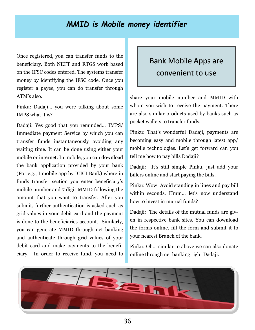#### *MMID is Mobile money identifier*

Once registered, you can transfer funds to the beneficiary. Both NEFT and RTGS work based on the IFSC codes entered. The systems transfer money by identifying the IFSC code. Once you register a payee, you can do transfer through ATM's also.

Pinku: Dadaji… you were talking about some IMPS what it is?

Dadaji: Yes good that you reminded… IMPS/ Immediate payment Service by which you can transfer funds instantaneously avoiding any waiting time. It can be done using either your mobile or internet. In mobile, you can download the bank application provided by your bank (For e.g., I mobile app by ICICI Bank) where in funds transfer section you enter beneficiary's mobile number and 7 digit MMID following the amount that you want to transfer. After you submit, further authentication is asked such as grid values in your debit card and the payment is done to the beneficiaries account. Similarly, you can generate MMID through net banking and authenticate through grid values of your debit card and make payments to the beneficiary. In order to receive fund, you need to

### Bank Mobile Apps are convenient to use

share your mobile number and MMID with whom you wish to receive the payment. There are also similar products used by banks such as pocket wallets to transfer funds.

Pinku: That's wonderful Dadaji, payments are becoming easy and mobile through latest app/ mobile technologies. Let's get forward can you tell me how to pay bills Dadaji?

Dadaji: It's still simple Pinku, just add your billers online and start paying the bills.

Pinku: Wow! Avoid standing in lines and pay bill within seconds. Hmm... let's now understand how to invest in mutual funds?

Dadaji: The details of the mutual funds are given in respective bank sites. You can download the forms online, fill the form and submit it to your nearest Branch of the bank.

Pinku: Oh… similar to above we can also donate online through net banking right Dadaji.

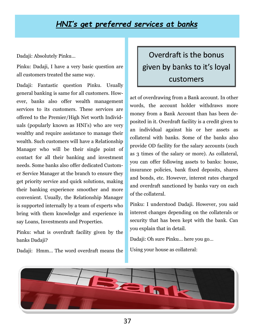#### *HNI's get preferred services at banks*

Dadaji: Absolutely Pinku…

Pinku: Dadaji, I have a very basic question are all customers treated the same way.

Dadaji: Fantastic question Pinku. Usually general banking is same for all customers. However, banks also offer wealth management services to its customers. These services are offered to the Premier/High Net worth Individuals (popularly known as HNI's) who are very wealthy and require assistance to manage their wealth. Such customers will have a Relationship Manager who will be their single point of contact for all their banking and investment needs. Some banks also offer dedicated Customer Service Manager at the branch to ensure they get priority service and quick solutions, making their banking experience smoother and more convenient. Usually, the Relationship Manager is supported internally by a team of experts who bring with them knowledge and experience in say Loans, Investments and Properties.

Pinku: what is overdraft facility given by the banks Dadaji?

Dadaji: Hmm… The word overdraft means the

# Overdraft is the bonus given by banks to it's loyal customers

act of overdrawing from a Bank account. In other words, the account holder withdraws more money from a Bank Account than has been deposited in it. Overdraft facility is a credit given to an individual against his or her assets as collateral with banks. Some of the banks also provide OD facility for the salary accounts (such as 3 times of the salary or more). As collateral, you can offer following assets to banks: house, insurance policies, bank fixed deposits, shares and bonds, etc. However, interest rates charged and overdraft sanctioned by banks vary on each of the collateral.

Pinku: I understood Dadaji. However, you said interest changes depending on the collaterals or security that has been kept with the bank. Can you explain that in detail.

Dadaji: Oh sure Pinku… here you go…

Using your house as collateral:

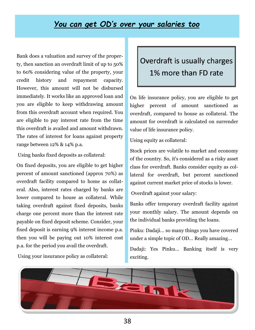#### *You can get OD's over your salaries too*

Bank does a valuation and survey of the property, then sanction an overdraft limit of up to 50% to 60% considering value of the property, your credit history and repayment capacity. However, this amount will not be disbursed immediately. It works like an approved loan and you are eligible to keep withdrawing amount from this overdraft account when required. You are eligible to pay interest rate from the time this overdraft is availed and amount withdrawn. The rates of interest for loans against property range between 12% & 14% p.a.

Using banks fixed deposits as collateral:

On fixed deposits, you are eligible to get higher percent of amount sanctioned (approx 70%) as overdraft facility compared to home as collateral. Also, interest rates charged by banks are lower compared to house as collateral. While taking overdraft against fixed deposits, banks charge one percent more than the interest rate payable on fixed deposit scheme. Consider, your fixed deposit is earning 9% interest income p.a. then you will be paying out 10% interest cost p.a. for the period you avail the overdraft.

### Overdraft is usually charges 1% more than FD rate

On life insurance policy, you are eligible to get higher percent of amount sanctioned as overdraft, compared to house as collateral. The amount for overdraft is calculated on surrender value of life insurance policy.

Using equity as collateral:

Stock prices are volatile to market and economy of the country. So, it's considered as a risky asset class for overdraft. Banks consider equity as collateral for overdraft, but percent sanctioned against current market price of stocks is lower.

Overdraft against your salary:

Banks offer temporary overdraft facility against your monthly salary. The amount depends on the individual banks providing the loans.

Pinku: Dadaji… so many things you have covered under a simple topic of OD… Really amazing…

Dadaji: Yes Pinku… Banking itself is very exciting.



Using your insurance policy as collateral: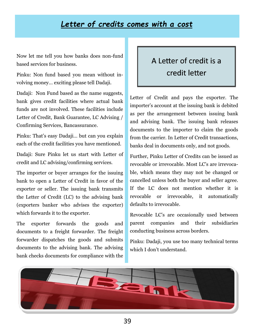#### *Letter of credits comes with a cost*

Now let me tell you how banks does non-fund based services for business.

Pinku: Non fund based you mean without involving money… exciting please tell Dadaji.

Dadaji: Non Fund based as the name suggests, bank gives credit facilities where actual bank funds are not involved. These facilities include Letter of Credit, Bank Guarantee, LC Advising / Confirming Services, Bancassurance.

Pinku: That's easy Dadaji… but can you explain each of the credit facilities you have mentioned.

Dadaji: Sure Pinku let us start with Letter of credit and LC advising/confirming services.

The importer or buyer arranges for the issuing bank to open a Letter of Credit in favor of the exporter or seller. The issuing bank transmits the Letter of Credit (LC) to the advising bank (exporters banker who advises the exporter) which forwards it to the exporter.

The exporter forwards the goods and documents to a freight forwarder. The freight forwarder dispatches the goods and submits documents to the advising bank. The advising bank checks documents for compliance with the

### A Letter of credit is a credit letter

Letter of Credit and pays the exporter. The importer's account at the issuing bank is debited as per the arrangement between issuing bank and advising bank. The issuing bank releases documents to the importer to claim the goods from the carrier. In Letter of Credit transactions, banks deal in documents only, and not goods.

Further, Pinku Letter of Credits can be issued as revocable or irrevocable. Most LC's are irrevocable, which means they may not be changed or cancelled unless both the buyer and seller agree. If the LC does not mention whether it is revocable or irrevocable, it automatically defaults to irrevocable.

Revocable LC's are occasionally used between parent companies and their subsidiaries conducting business across borders.

Pinku: Dadaji, you use too many technical terms which I don't understand.

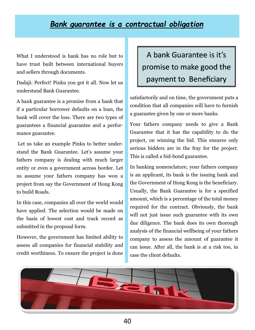#### *Bank guarantee is a contractual obligation*

What I understood is bank has no role but to have trust built between international buyers and sellers through documents.

Dadaji: Perfect! Pinku you got it all. Now let us understand Bank Guarantee.

A bank guarantee is a promise from a bank that if a particular borrower defaults on a loan, the bank will cover the loss. There are two types of guarantees a financial guarantee and a performance guarantee.

Let us take an example Pinku to better understand the Bank Guarantee. Let's assume your fathers company is dealing with much larger entity or even a government across border. Let us assume your fathers company has won a project from say the Government of Hong Kong to build Roads.

In this case, companies all over the world would have applied. The selection would be made on the basis of lowest cost and track record as submitted in the proposal form.

However, the government has limited ability to assess all companies for financial stability and credit worthiness. To ensure the project is done

A bank Guarantee is it's promise to make good the payment to Beneficiary

satisfactorily and on time, the government puts a condition that all companies will have to furnish a guarantee given by one or more banks.

Your fathers company needs to give a Bank Guarantee that it has the capability to do the project, on winning the bid. This ensures only serious bidders are in the fray for the project. This is called a bid-bond guarantee.

In banking nomenclature, your fathers company is an applicant, its bank is the issuing bank and the Government of Hong Kong is the beneficiary. Usually, the Bank Guarantee is for a specified amount, which is a percentage of the total money required for the contract. Obviously, the bank will not just issue such guarantee with its own due diligence. The bank does its own thorough analysis of the financial wellbeing of your fathers company to assess the amount of guarantee it can issue. After all, the bank is at a risk too, in case the client defaults.

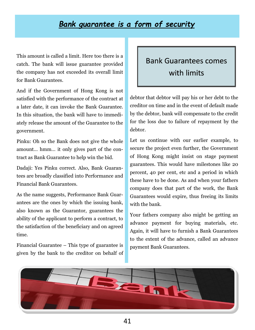#### *Bank guarantee is a form of security*

This amount is called a limit. Here too there is a catch. The bank will issue guarantee provided the company has not exceeded its overall limit for Bank Guarantees.

And if the Government of Hong Kong is not satisfied with the performance of the contract at a later date, it can invoke the Bank Guarantee. In this situation, the bank will have to immediately release the amount of the Guarantee to the government.

Pinku: Oh so the Bank does not give the whole amount… hmm… it only gives part of the contract as Bank Guarantee to help win the bid.

Dadaji: Yes Pinku correct. Also, Bank Guarantees are broadly classified into Performance and Financial Bank Guarantees.

As the name suggests, Performance Bank Guarantees are the ones by which the issuing bank, also known as the Guarantor, guarantees the ability of the applicant to perform a contract, to the satisfaction of the beneficiary and on agreed time.

Financial Guarantee – This type of guarantee is given by the bank to the creditor on behalf of

### Bank Guarantees comes with limits

debtor that debtor will pay his or her debt to the creditor on time and in the event of default made by the debtor, bank will compensate to the credit for the loss due to failure of repayment by the debtor.

Let us continue with our earlier example, to secure the project even further, the Government of Hong Kong might insist on stage payment guarantees. This would have milestones like 20 percent, 40 per cent, etc and a period in which these have to be done. As and when your fathers company does that part of the work, the Bank Guarantees would expire, thus freeing its limits with the bank.

Your fathers company also might be getting an advance payment for buying materials, etc. Again, it will have to furnish a Bank Guarantees to the extent of the advance, called an advance payment Bank Guarantees.

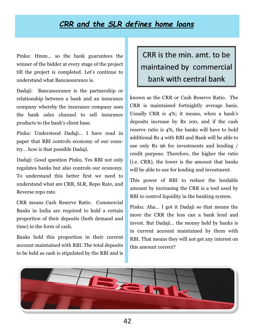#### *CRR and the SLR defines home loans*

Pinku: Hmm… so the bank guarantees the winner of the bidder at every stage of the project till the project is completed. Let's continue to understand what Bancassurance is.

Dadaji: Bancassurance is the partnership or relationship between a bank and an insurance company whereby the insurance company uses the bank sales channel to sell insurance products to the bank's client base.

Pinku: Understood Dadaji… I have read in paper that RBI controls economy of our country… how is that possible Dadaji.

Dadaji: Good question Pinku. Yes RBI not only regulates banks but also controls our economy. To understand this better first we need to understand what are CRR, SLR, Repo Rate, and Reverse repo rate.

CRR means Cash Reserve Ratio. Commercial Banks in India are required to hold a certain proportion of their deposits (both demand and time) in the form of cash.

Banks hold this proportion in their current account maintained with RBI. The total deposits to be held as cash is stipulated by the RBI and is

### CRR is the min. amt. to be maintained by commercial bank with central bank

known as the CRR or Cash Reserve Ratio. The CRR is maintained fortnightly average basis. Usually CRR is 4%; it means, when a bank's deposits increase by Rs 100, and if the cash reserve ratio is 4%, the banks will have to hold additional Rs 4 with RBI and Bank will be able to use only Rs 96 for investments and lending / credit purpose. Therefore, the higher the ratio (i.e. CRR), the lower is the amount that banks will be able to use for lending and investment.

This power of RBI to reduce the lendable amount by increasing the CRR is a tool used by RBI to control liquidity in the banking system.

Pinku: Aha… I got it Dadaji so that means the more the CRR the less can a bank lend and invest. But Dadaji… the money held by banks is in current account maintained by them with RBI. That means they will not get any interest on this amount correct?

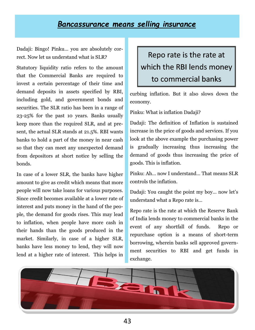#### *Bancassurance means selling insurance*

Dadaji: Bingo! Pinku… you are absolutely correct. Now let us understand what is SLR?

Statutory liquidity ratio refers to the amount that the Commercial Banks are required to invest a certain percentage of their time and demand deposits in assets specified by RBI, including gold, and government bonds and securities. The SLR ratio has been in a range of 23-25% for the past 10 years. Banks usually keep more than the required SLR, and at present, the actual SLR stands at 21.5%. RBI wants banks to hold a part of the money in near cash so that they can meet any unexpected demand from depositors at short notice by selling the bonds.

In case of a lower SLR, the banks have higher amount to give as credit which means that more people will now take loans for various purposes. Since credit becomes available at a lower rate of interest and puts money in the hand of the people, the demand for goods rises. This may lead to inflation, when people have more cash in their hands than the goods produced in the market. Similarly, in case of a higher SLR, banks have less money to lend, they will now lend at a higher rate of interest. This helps in

# Repo rate is the rate at which the RBI lends money to commercial banks

curbing inflation. But it also slows down the economy.

Pinku: What is inflation Dadaji?

Dadaji: The definition of Inflation is sustained increase in the price of goods and services. If you look at the above example the purchasing power is gradually increasing thus increasing the demand of goods thus increasing the price of goods. This is inflation.

Pinku: Ah… now I understand… That means SLR controls the inflation.

Dadaji: You caught the point my boy… now let's understand what a Repo rate is…

Repo rate is the rate at which the Reserve Bank of India lends money to commercial banks in the event of any shortfall of funds. Repo or repurchase option is a means of short-term borrowing, wherein banks sell approved government securities to RBI and get funds in exchange.

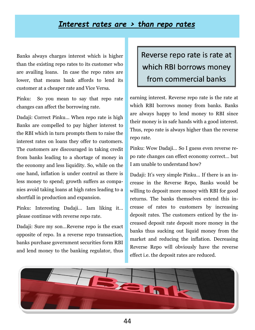#### *Interest rates are > than repo rates*

Banks always charges interest which is higher than the existing repo rates to its customer who are availing loans. In case the repo rates are lower, that means bank affords to lend its customer at a cheaper rate and Vice Versa.

Pinku: So you mean to say that repo rate changes can affect the borrowing rate.

Dadaji: Correct Pinku… When repo rate is high Banks are compelled to pay higher interest to the RBI which in turn prompts them to raise the interest rates on loans they offer to customers. The customers are discouraged in taking credit from banks leading to a shortage of money in the economy and less liquidity. So, while on the one hand, inflation is under control as there is less money to spend; growth suffers as companies avoid taking loans at high rates leading to a shortfall in production and expansion.

Pinku: Interesting Dadaji… Iam liking it… please continue with reverse repo rate.

Dadaji: Sure my son…Reverse repo is the exact opposite of repo. In a reverse repo transaction, banks purchase government securities form RBI and lend money to the banking regulator, thus

### Reverse repo rate is rate at which RBI borrows money from commercial banks

earning interest. Reverse repo rate is the rate at which RBI borrows money from banks. Banks are always happy to lend money to RBI since their money is in safe hands with a good interest. Thus, repo rate is always higher than the reverse repo rate.

Pinku: Wow Dadaji… So I guess even reverse repo rate changes can effect economy correct… but I am unable to understand how?

Dadaji: It's very simple Pinku… If there is an increase in the Reverse Repo, Banks would be willing to deposit more money with RBI for good returns. The banks themselves extend this increase of rates to customers by increasing deposit rates. The customers enticed by the increased deposit rate deposit more money in the banks thus sucking out liquid money from the market and reducing the inflation. Decreasing Reverse Repo will obviously have the reverse effect i.e. the deposit rates are reduced.

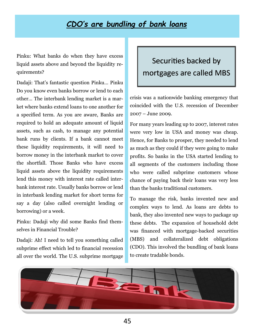### *CDO's are bundling of bank loans*

Pinku: What banks do when they have excess liquid assets above and beyond the liquidity requirements?

Dadaji: That's fantastic question Pinku… Pinku Do you know even banks borrow or lend to each other… The interbank lending market is a market where banks extend loans to one another for a specified term. As you are aware, Banks are required to hold an adequate amount of liquid assets, such as cash, to manage any potential bank runs by clients. If a bank cannot meet these liquidity requirements, it will need to borrow money in the interbank market to cover the shortfall. Those Banks who have excess liquid assets above the liquidity requirements lend this money with interest rate called interbank interest rate. Usually banks borrow or lend in interbank lending market for short terms for say a day (also called overnight lending or borrowing) or a week.

Pinku: Dadaji why did some Banks find themselves in Financial Trouble?

Dadaji: Ah! I need to tell you something called subprime effect which led to financial recession all over the world. The U.S. subprime mortgage

### Securities backed by mortgages are called MBS

crisis was a nationwide banking emergency that coincided with the U.S. recession of December 2007 – June 2009.

For many years leading up to 2007, interest rates were very low in USA and money was cheap. Hence, for Banks to prosper, they needed to lend as much as they could if they were going to make profits. So banks in the USA started lending to all segments of the customers including those who were called subprime customers whose chance of paying back their loans was very less than the banks traditional customers.

To manage the risk, banks invented new and complex ways to lend. As loans are debts to bank, they also invented new ways to package up these debts. The expansion of household debt was financed with mortgage-backed securities (MBS) and collateralized debt obligations (CDO). This involved the bundling of bank loans to create tradable bonds.

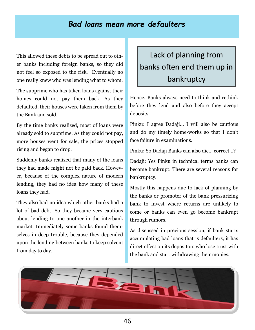### *Bad loans mean more defaulters*

This allowed these debts to be spread out to other banks including foreign banks, so they did not feel so exposed to the risk. Eventually no one really knew who was lending what to whom.

The subprime who has taken loans against their homes could not pay them back. As they defaulted, their houses were taken from them by the Bank and sold.

By the time banks realized, most of loans were already sold to subprime. As they could not pay, more houses went for sale, the prices stopped rising and began to drop.

Suddenly banks realized that many of the loans they had made might not be paid back. However, because of the complex nature of modern lending, they had no idea how many of these loans they had.

They also had no idea which other banks had a lot of bad debt. So they became very cautious about lending to one another in the interbank market. Immediately some banks found themselves in deep trouble, because they depended upon the lending between banks to keep solvent from day to day.

# Lack of planning from banks often end them up in bankruptcy

Hence, Banks always need to think and rethink before they lend and also before they accept deposits.

Pinku: I agree Dadaji… I will also be cautious and do my timely home-works so that I don't face failure in examinations.

Pinku: So Dadaji Banks can also die… correct…?

Dadaji: Yes Pinku in technical terms banks can become bankrupt. There are several reasons for bankruptcy.

Mostly this happens due to lack of planning by the banks or promoter of the bank pressurizing bank to invest where returns are unlikely to come or banks can even go become bankrupt through rumors.

As discussed in previous session, if bank starts accumulating bad loans that is defaulters, it has direct effect on its depositors who lose trust with the bank and start withdrawing their monies.